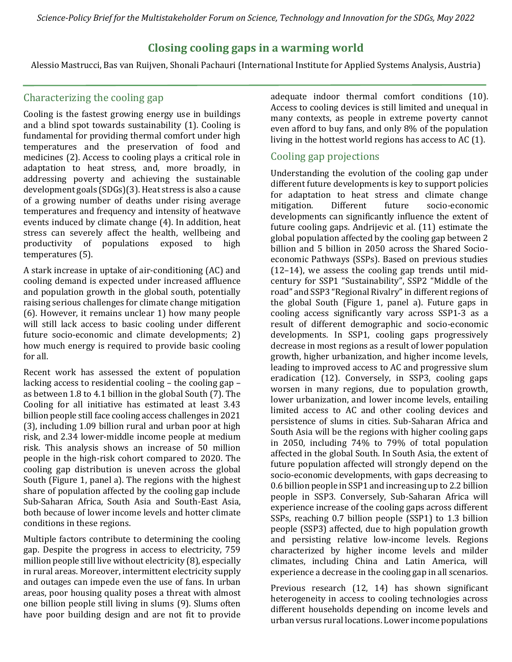*Science-Policy Brief for the Multistakeholder Forum on Science, Technology and Innovation for the SDGs, May 2022*

# **Closing cooling gaps in a warming world**

Alessio Mastrucci, Bas van Ruijven, Shonali Pachauri (International Institute for Applied Systems Analysis, Austria)

### Characterizing the cooling gap

Cooling is the fastest growing energy use in buildings and a blind spot towards sustainability (1). Cooling is fundamental for providing thermal comfort under high temperatures and the preservation of food and medicines (2). Access to cooling plays a critical role in adaptation to heat stress, and, more broadly, in addressing poverty and achieving the sustainable development goals (SDGs)(3). Heat stress is also a cause of a growing number of deaths under rising average temperatures and frequency and intensity of heatwave events induced by climate change (4). In addition, heat stress can severely affect the health, wellbeing and productivity of populations exposed to high temperatures (5).

A stark increase in uptake of air-conditioning (AC) and cooling demand is expected under increased affluence and population growth in the global south, potentially raising serious challenges for climate change mitigation (6). However, it remains unclear 1) how many people will still lack access to basic cooling under different future socio-economic and climate developments; 2) how much energy is required to provide basic cooling for all.

Recent work has assessed the extent of population lacking access to residential cooling – the cooling gap – as between 1.8 to 4.1 billion in the global South (7). The Cooling for all initiative has estimated at least 3.43 billion people still face cooling access challenges in 2021 (3), including 1.09 billion rural and urban poor at high risk, and 2.34 lower-middle income people at medium risk. This analysis shows an increase of 50 million people in the high-risk cohort compared to 2020. The cooling gap distribution is uneven across the global South (Figure 1, panel a). The regions with the highest share of population affected by the cooling gap include Sub-Saharan Africa, South Asia and South-East Asia, both because of lower income levels and hotter climate conditions in these regions.

Multiple factors contribute to determining the cooling gap. Despite the progress in access to electricity, 759 million people still live without electricity (8), especially in rural areas. Moreover, intermittent electricity supply and outages can impede even the use of fans. In urban areas, poor housing quality poses a threat with almost one billion people still living in slums (9). Slums often have poor building design and are not fit to provide

adequate indoor thermal comfort conditions (10). Access to cooling devices is still limited and unequal in many contexts, as people in extreme poverty cannot even afford to buy fans, and only 8% of the population living in the hottest world regions has access to AC (1).

## Cooling gap projections

Understanding the evolution of the cooling gap under different future developments is key to support policies for adaptation to heat stress and climate change mitigation. Different future socio-economic developments can significantly influence the extent of future cooling gaps. Andrijevic et al. (11) estimate the global population affected by the cooling gap between 2 billion and 5 billion in 2050 across the Shared Socioeconomic Pathways (SSPs). Based on previous studies (12–14), we assess the cooling gap trends until midcentury for SSP1 "Sustainability", SSP2 "Middle of the road" and SSP3 "Regional Rivalry" in different regions of the global South (Figure 1, panel a). Future gaps in cooling access significantly vary across SSP1-3 as a result of different demographic and socio-economic developments. In SSP1, cooling gaps progressively decrease in most regions as a result of lower population growth, higher urbanization, and higher income levels, leading to improved access to AC and progressive slum eradication (12). Conversely, in SSP3, cooling gaps worsen in many regions, due to population growth, lower urbanization, and lower income levels, entailing limited access to AC and other cooling devices and persistence of slums in cities. Sub-Saharan Africa and South Asia will be the regions with higher cooling gaps in 2050, including 74% to 79% of total population affected in the global South. In South Asia, the extent of future population affected will strongly depend on the socio-economic developments, with gaps decreasing to 0.6 billion people in SSP1 and increasing up to 2.2 billion people in SSP3. Conversely, Sub-Saharan Africa will experience increase of the cooling gaps across different SSPs, reaching 0.7 billion people (SSP1) to 1.3 billion people (SSP3) affected, due to high population growth and persisting relative low-income levels. Regions characterized by higher income levels and milder climates, including China and Latin America, will experience a decrease in the cooling gap in all scenarios.

Previous research (12, 14) has shown significant heterogeneity in access to cooling technologies across different households depending on income levels and urban versus rural locations. Lower income populations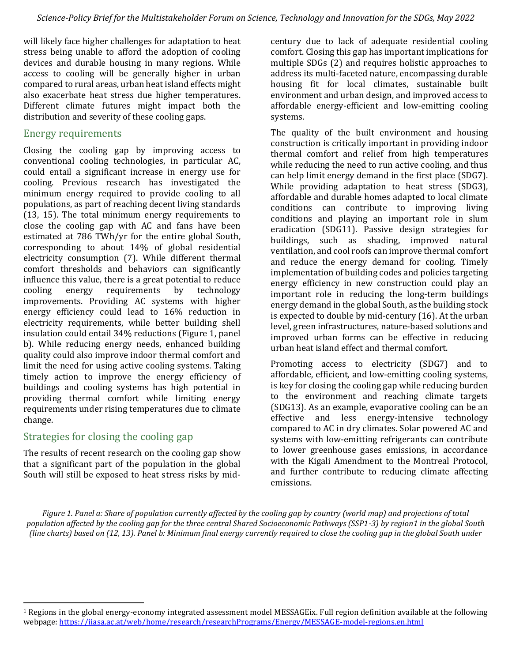will likely face higher challenges for adaptation to heat stress being unable to afford the adoption of cooling devices and durable housing in many regions. While access to cooling will be generally higher in urban compared to rural areas, urban heat island effects might also exacerbate heat stress due higher temperatures. Different climate futures might impact both the distribution and severity of these cooling gaps.

### Energy requirements

Closing the cooling gap by improving access to conventional cooling technologies, in particular AC, could entail a significant increase in energy use for cooling. Previous research has investigated the minimum energy required to provide cooling to all populations, as part of reaching decent living standards (13, 15). The total minimum energy requirements to close the cooling gap with AC and fans have been estimated at 786 TWh/yr for the entire global South, corresponding to about 14% of global residential electricity consumption (7). While different thermal comfort thresholds and behaviors can significantly influence this value, there is a great potential to reduce cooling energy requirements by technology improvements. Providing AC systems with higher energy efficiency could lead to 16% reduction in electricity requirements, while better building shell insulation could entail 34% reductions (Figure 1, panel b). While reducing energy needs, enhanced building quality could also improve indoor thermal comfort and limit the need for using active cooling systems. Taking timely action to improve the energy efficiency of buildings and cooling systems has high potential in providing thermal comfort while limiting energy requirements under rising temperatures due to climate change.

### Strategies for closing the cooling gap

The results of recent research on the cooling gap show that a significant part of the population in the global South will still be exposed to heat stress risks by midcentury due to lack of adequate residential cooling comfort. Closing this gap has important implications for multiple SDGs (2) and requires holistic approaches to address its multi-faceted nature, encompassing durable housing fit for local climates, sustainable built environment and urban design, and improved access to affordable energy-efficient and low-emitting cooling systems.

The quality of the built environment and housing construction is critically important in providing indoor thermal comfort and relief from high temperatures while reducing the need to run active cooling, and thus can help limit energy demand in the first place (SDG7). While providing adaptation to heat stress (SDG3), affordable and durable homes adapted to local climate conditions can contribute to improving living conditions and playing an important role in slum eradication (SDG11). Passive design strategies for buildings, such as shading, improved natural ventilation, and cool roofs can improve thermal comfort and reduce the energy demand for cooling. Timely implementation of building codes and policies targeting energy efficiency in new construction could play an important role in reducing the long-term buildings energy demand in the global South, as the building stock is expected to double by mid-century (16). At the urban level, green infrastructures, nature-based solutions and improved urban forms can be effective in reducing urban heat island effect and thermal comfort.

Promoting access to electricity (SDG7) and to affordable, efficient, and low-emitting cooling systems, is key for closing the cooling gap while reducing burden to the environment and reaching climate targets (SDG13). As an example, evaporative cooling can be an effective and less energy-intensive technology compared to AC in dry climates. Solar powered AC and systems with low-emitting refrigerants can contribute to lower greenhouse gases emissions, in accordance with the Kigali Amendment to the Montreal Protocol, and further contribute to reducing climate affecting emissions.

*Figure 1. Panel a: Share of population currently affected by the cooling gap by country (world map) and projections of total population affected by the cooling gap for the three central Shared Socioeconomic Pathways (SSP1-3) by region1 in the global South (line charts) based on (12, 13). Panel b: Minimum final energy currently required to close the cooling gap in the global South under* 

 $1$  Regions in the global energy-economy integrated assessment model MESSAGEix. Full region definition available at the following webpage:<https://iiasa.ac.at/web/home/research/researchPrograms/Energy/MESSAGE-model-regions.en.html>